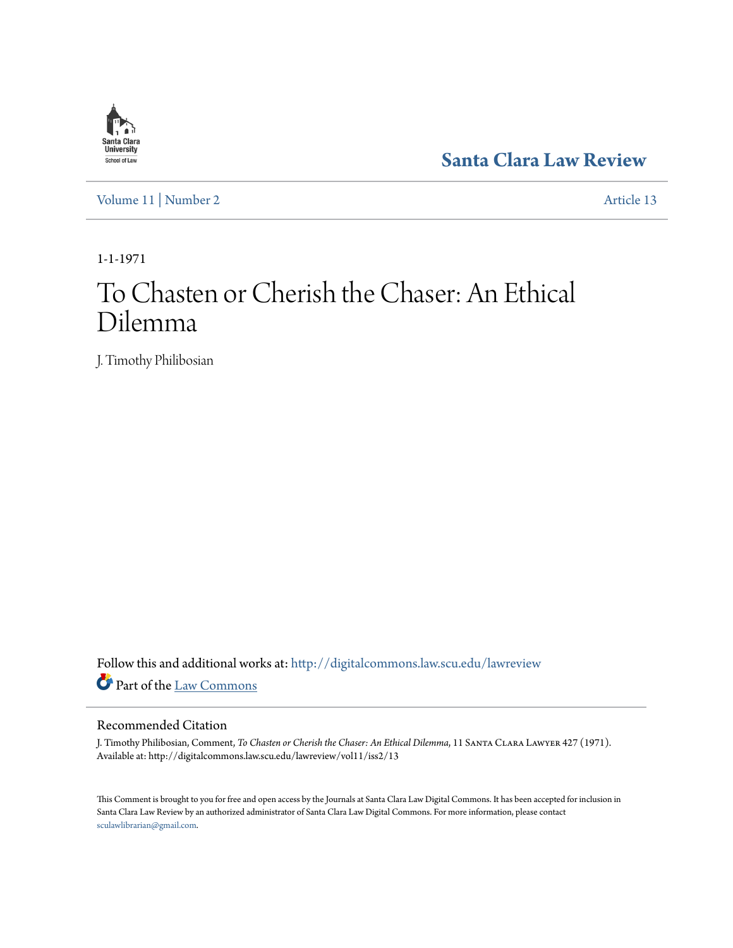

**[Santa Clara Law Review](http://digitalcommons.law.scu.edu/lawreview?utm_source=digitalcommons.law.scu.edu%2Flawreview%2Fvol11%2Fiss2%2F13&utm_medium=PDF&utm_campaign=PDFCoverPages)**

[Volume 11](http://digitalcommons.law.scu.edu/lawreview/vol11?utm_source=digitalcommons.law.scu.edu%2Flawreview%2Fvol11%2Fiss2%2F13&utm_medium=PDF&utm_campaign=PDFCoverPages) | [Number 2](http://digitalcommons.law.scu.edu/lawreview/vol11/iss2?utm_source=digitalcommons.law.scu.edu%2Flawreview%2Fvol11%2Fiss2%2F13&utm_medium=PDF&utm_campaign=PDFCoverPages) [Article 13](http://digitalcommons.law.scu.edu/lawreview/vol11/iss2/13?utm_source=digitalcommons.law.scu.edu%2Flawreview%2Fvol11%2Fiss2%2F13&utm_medium=PDF&utm_campaign=PDFCoverPages)

1-1-1971

# To Chasten or Cherish the Chaser: An Ethical Dilemma

J. Timothy Philibosian

Follow this and additional works at: [http://digitalcommons.law.scu.edu/lawreview](http://digitalcommons.law.scu.edu/lawreview?utm_source=digitalcommons.law.scu.edu%2Flawreview%2Fvol11%2Fiss2%2F13&utm_medium=PDF&utm_campaign=PDFCoverPages) Part of the [Law Commons](http://network.bepress.com/hgg/discipline/578?utm_source=digitalcommons.law.scu.edu%2Flawreview%2Fvol11%2Fiss2%2F13&utm_medium=PDF&utm_campaign=PDFCoverPages)

## Recommended Citation

J. Timothy Philibosian, Comment, *To Chasten or Cherish the Chaser: An Ethical Dilemma*, 11 Santa Clara Lawyer 427 (1971). Available at: http://digitalcommons.law.scu.edu/lawreview/vol11/iss2/13

This Comment is brought to you for free and open access by the Journals at Santa Clara Law Digital Commons. It has been accepted for inclusion in Santa Clara Law Review by an authorized administrator of Santa Clara Law Digital Commons. For more information, please contact [sculawlibrarian@gmail.com](mailto:sculawlibrarian@gmail.com).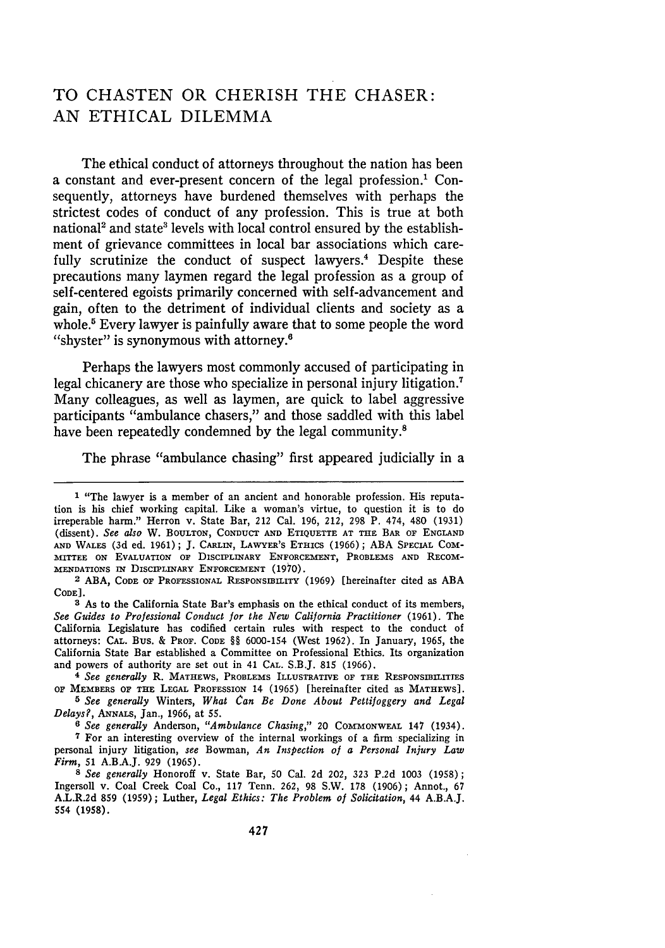## TO **CHASTEN** OR CHERISH THE CHASER: AN ETHICAL DILEMMA

The ethical conduct of attorneys throughout the nation has been a constant and ever-present concern of the legal profession.<sup>1</sup> Consequently, attorneys have burdened themselves with perhaps the strictest codes of conduct of any profession. This is true at both national<sup>2</sup> and state<sup>3</sup> levels with local control ensured by the establishment of grievance committees in local bar associations which carefully scrutinize the conduct of suspect lawyers.<sup>4</sup> Despite these precautions many laymen regard the legal profession as a group of self-centered egoists primarily concerned with self-advancement and gain, often to the detriment of individual clients and society as a whole.<sup>5</sup> Every lawyer is painfully aware that to some people the word "shyster" is synonymous with attorney.<sup>6</sup>

Perhaps the lawyers most commonly accused of participating in legal chicanery are those who specialize in personal injury litigation.7 Many colleagues, as well as laymen, are quick to label aggressive participants "ambulance chasers," and those saddled with this label have been repeatedly condemned by the legal community.<sup>8</sup>

The phrase "ambulance chasing" first appeared judicially in a

**3** As to the California State Bar's emphasis on the ethical conduct of its members, See Guides to Professional Conduct for the New California Practitioner (1961). The California Legislature has codified certain rules with respect to the conduct of attorneys: CAL. Bus. & PROF. CODE §§ 6000-154 (West 1962). In January, 1965, the California State Bar established a Committee on Professional Ethics. Its organization and powers of authority are set out in 41 CAL. S.B.J. 815 (1966).

*<sup>4</sup>See generally* R. MATHEWS, PROBLEMS ILLUSTRATIVE OF THE RESPONSIBILITIES OF MEMBERS OF **THE LEGAL** PROFESSION 14 (1965) [hereinafter cited as MATHEWS].

*5 See generally* Winters, *What Can Be Done About Pettifoggery and Legal Delays?,* ANNALS, Jan., 1966, at 55.

*6 See generally* Anderson, *"Ambulance Chasing,"* 20 COMrMONWEAL 147 (1934). 7 For an interesting overview of the internal workings of a firm specializing in personal injury litigation, *see* Bowman, *An Inspection of a Personal Injury Law Firm,* 51 A.B.A.J. 929 (1965).

*8 See generally* Honoroff v. State Bar, 50 Cal. 2d 202, 323 P.2d 1003 (1958); Ingersoll v. Coal Creek Coal Co., 117 Tenn. 262, 98 S.W. 178 (1906); Annot., 67 A.L.R.2d **859** (1959); Luther, *Legal Ethics: The Problem of Solicitation,* 44 A.B.A.J. 554 (1958).

<sup>1 &</sup>quot;The lawyer is a member of an ancient and honorable profession. His reputation is his chief working capital. Like a woman's virtue, to question it is to do irreperable harm." Herron v. State Bar, 212 Cal. 196, 212, 298 P. 474, 480 (1931) (dissent). *See also* W. BOULTON, **CONDUCT** AND **ETIQUETTE AT THE** BAR OF ENGLAND **AND** WALES (3d ed. 1961); J. CARLIN, LAWYER'S ETHICS (1966); ABA SPECIAL COM-**MITTEE** ON EVALUATION OF DISCIPLINARY **ENFORCEMENT,** PROBLEMS AND RECOM-**MENDATIONS** IN DISCIPLINARY **ENFORCEMENT** (1970).

<sup>2</sup> ABA, CODE OF PROFESSIONAL RESPONSIBILITY (1969) [hereinafter cited as ABA CODE].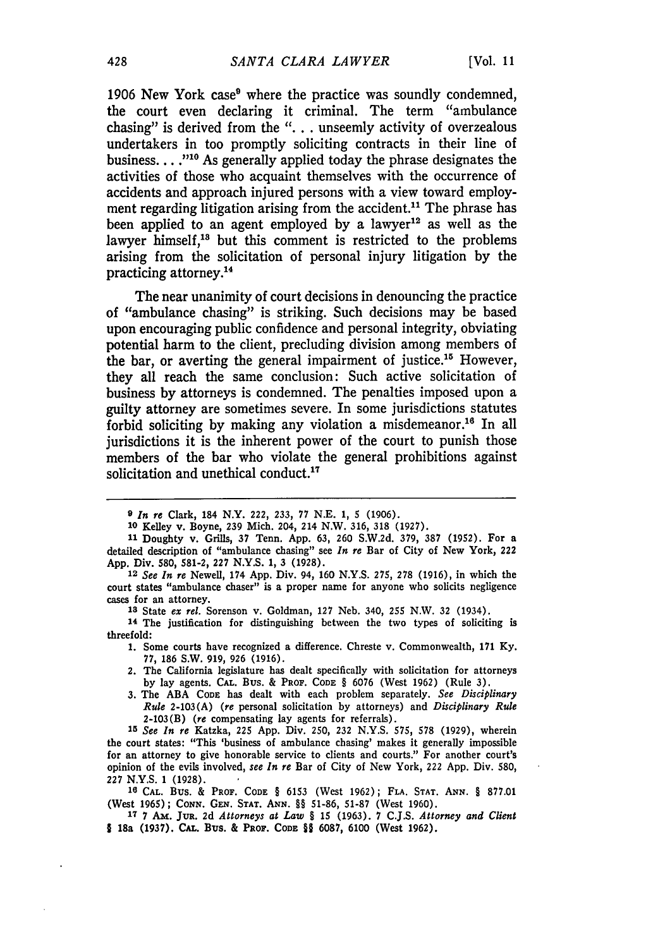1906 New York case<sup>9</sup> where the practice was soundly condemned, the court even declaring it criminal. The term "ambulance chasing" is derived from the **". . .** unseemly activity of overzealous undertakers in too promptly soliciting contracts in their line of business...<sup>,"10</sup> As generally applied today the phrase designates the activities of those who acquaint themselves with the occurrence of accidents and approach injured persons with a view toward employment regarding litigation arising from the accident.<sup>11</sup> The phrase has been applied to an agent employed **by** a lawyer12 as well as the lawyer himself,<sup>13</sup> but this comment is restricted to the problems arising from the solicitation of personal injury litigation **by** the practicing attorney.<sup>14</sup>

The near unanimity of court decisions in denouncing the practice of "ambulance chasing" is striking. Such decisions may be based upon encouraging public confidence and personal integrity, obviating potential harm to the client, precluding division among members of the bar, or averting the general impairment of justice.<sup>15</sup> However, they all reach the same conclusion: Such active solicitation of business **by** attorneys is condemned. The penalties imposed upon a guilty attorney are sometimes severe. In some jurisdictions statutes forbid soliciting by making any violation a misdemeanor.<sup>16</sup> In all jurisdictions it is the inherent power of the court to punish those members of the bar who violate the general prohibitions against solicitation and unethical conduct.<sup>17</sup>

- 1. Some courts have recognized a difference. Chreste v. Commonwealth, **171** Ky. 77, 186 S.W. 919, 926 (1916).
- 2. The California legislature has dealt specifically with solicitation for attorneys **by** lay agents. **CAL.** BUS. & PROF. **CODE** § 6076 (West 1962) (Rule 3).
- 3. The ABA **CODE** has dealt with each problem separately. *See Disciplinary Rule* 2-103(A) (re personal solicitation **by** attorneys) and *Disciplinary Rule* 2-103(B) (re compensating lay agents for referrals).

**10** CAL. Bus. & **PROF. CODE** § 6153 (West 1962); **FLA. STAT. ANN.** § 877.01 (West 1965); CONN. GEN. STAT. ANN. §§ 51-86, 51-87 (West 1960).

*<sup>9</sup> In re* Clark, 184 N.Y. 222, 233, 77 N.E. **1,** 5 (1906).

**<sup>10</sup>** Kelley v. Boyne, 239 Mich. 204, 214 N.W. 316, 318 (1927).

**<sup>11</sup>**Doughty v. Grills, **37** Tenn. App. 63, 260 S.W.2d. 379, **387** (1952). For a detailed description of "ambulance chasing" see *In re* Bar of City of New York, 222 App. Div. 580, **581-2, 227** N.Y.S. 1, 3 (1928).

**<sup>12</sup>** *See In re* Newell, 174 App. Div. 94, 160 N.Y.S. **275,** 278 (1916), in which the court states "ambulance chaser" is a proper name for anyone who solicits negligence cases for an attorney.

**<sup>13</sup>**State *ex* rel. Sorenson v. Goldman, 127 Neb. 340, **255** N.W. 32 (1934).

**<sup>14</sup>** The justification for distinguishing between the two types of soliciting is threefold:

**<sup>15</sup>** *See In re* Katzka, 225 App. Div. 250, 232 N.Y.S. 575, **578** (1929), wherein the court states: "This 'business of ambulance chasing' makes it generally impossible for an attorney to give honorable service to clients and courts." For another court's opinion of the evils involved, *see In re* Bar of City of New York, 222 App. Div. 580, 227 N.Y.S. 1 (1928).

**<sup>17</sup>**7 Am. **Ju. 2d** *Attorneys at Law §* 15 **(1963).** 7 **C.J.S.** *Attorney and Client* **I** 18a **(1937). CAL.** Bus. & PROF. CODE §§ **6087, 6100** (West **1962).**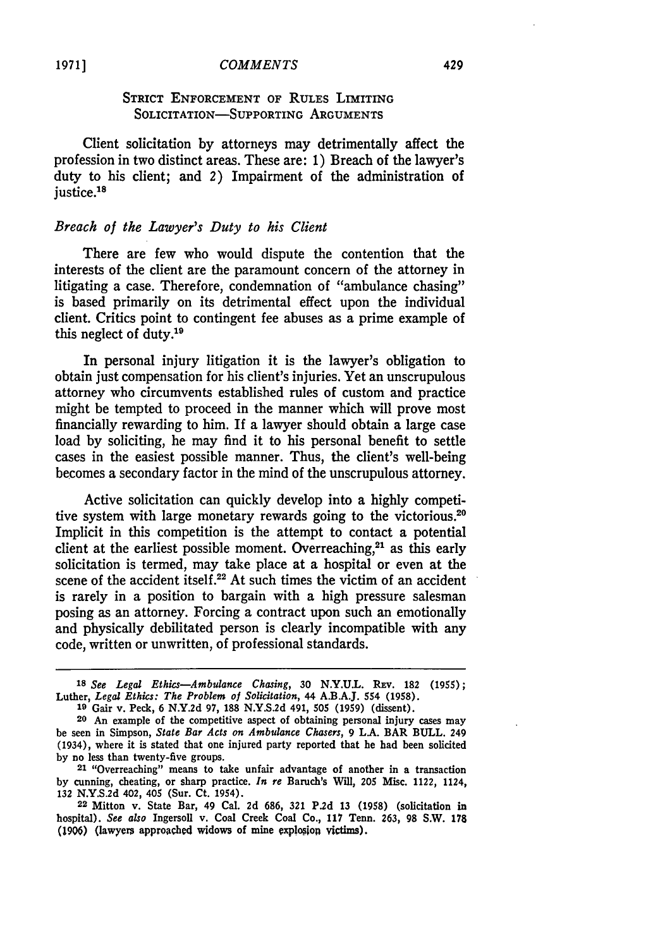#### *COMMENTS*

## STRICT **ENFORCEMENT** OF RULES LIMITING SOLICITATION-SUPPORTING **ARGUMENTS**

Client solicitation **by** attorneys may detrimentally affect the profession in two distinct areas. These are: **1)** Breach of the lawyer's duty to his client; and 2) Impairment of the administration of justice.<sup>18</sup>

## *Breach of the Lawyer's Duty to his Client*

There are few who would dispute the contention that the interests of the client are the paramount concern of the attorney in litigating a case. Therefore, condemnation of "ambulance chasing" is based primarily on its detrimental effect upon the individual client. Critics point to contingent fee abuses as a prime example of this neglect of duty.<sup>19</sup>

In personal injury litigation it is the lawyer's obligation to obtain just compensation for his client's injuries. Yet an unscrupulous attorney who circumvents established rules of custom and practice might be tempted to proceed in the manner which will prove most financially rewarding to him. If a lawyer should obtain a large case load by soliciting, he may find it to his personal benefit to settle cases in the easiest possible manner. Thus, the client's well-being becomes a secondary factor in the mind of the unscrupulous attorney.

Active solicitation can quickly develop into a highly competitive system with large monetary rewards going to the victorious.<sup>20</sup> Implicit in this competition is the attempt to contact a potential client at the earliest possible moment. Overreaching, $21$  as this early solicitation is termed, may take place at a hospital or even at the scene of the accident itself.<sup>22</sup> At such times the victim of an accident is rarely in a position to bargain with a high pressure salesman posing as an attorney. Forcing a contract upon such an emotionally and physically debilitated person is clearly incompatible with any code, written or unwritten, of professional standards.

**<sup>18</sup>***See Legal Ethics-Ambulance Chasing,* 30 **N.Y.U.L. REv. 182 (1955);** Luther, *Legal Ethics: The Problem of Solicitation,* 44 **A.B.A.J.** 554 **(1958). <sup>19</sup>**Gair v. Peck, 6 **N.Y.2d 97, 188 N.Y.S.2d** 491, **505 (1959)** (dissent).

**<sup>20</sup>** An example of the competitive aspect of obtaining personal injury cases may be seen in Simpson, *State Bar Acts on Ambulance Chasers,* **9 LA.** BAR **BULL.** 249 (1934), where it is stated that one injured party reported that he had been solicited **by** no less than twenty-five groups.

**<sup>21</sup>** "Overreaching" means to take unfair advantage of another in a transaction **by** cunning, cheating, or sharp practice. *In re* Baruch's Will, 205 Misc. 1122, 1124, **132 N.Y.S.2d** 402, 405 (Sur. Ct. 1954).

<sup>22</sup> Mitton v. State Bar, 49 Cal. **2d** 686, **321 P.2d** 13 (1958) (solicitation in hospital). *See also* Ingersoll v. Coal Creek Coal Co., 117 Tenn. 263, **98** S.W. 178 **(1906)** (lawyers approached widows of mine oxplopiop victims).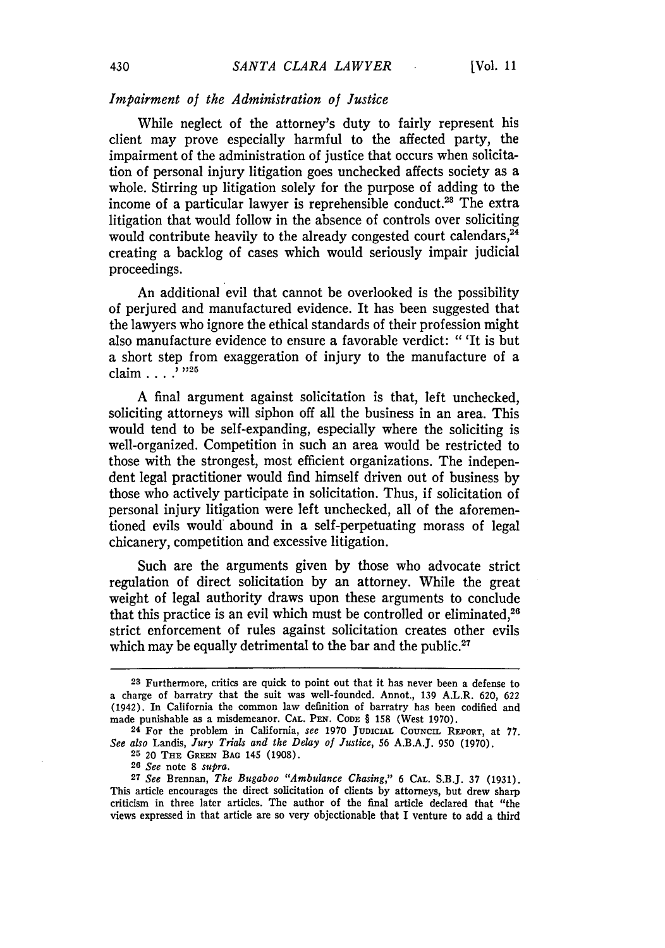#### *Impairment of the Administration of Justice*

While neglect of the attorney's duty to fairly represent his client may prove especially harmful to the affected party, the impairment of the administration of justice that occurs when solicitation of personal injury litigation goes unchecked affects society as a whole. Stirring up litigation solely for the purpose of adding to the income of a particular lawyer is reprehensible conduct.23 The extra litigation that would follow in the absence of controls over soliciting would contribute heavily to the already congested court calendars,  $24$ creating a backlog of cases which would seriously impair judicial proceedings.

An additional evil that cannot be overlooked is the possibility of perjured and manufactured evidence. It has been suggested that the lawyers who ignore the ethical standards of their profession might also manufacture evidence to ensure a favorable verdict: " 'It is but a short step from exaggeration of injury to the manufacture of a claim . . . **.2 ,25**

A final argument against solicitation is that, left unchecked, soliciting attorneys will siphon off all the business in an area. This would tend to be self-expanding, especially where the soliciting is well-organized. Competition in such an area would be restricted to those with the strongest, most efficient organizations. The independent legal practitioner would find himself driven out of business by those who actively participate in solicitation. Thus, if solicitation of personal injury litigation were left unchecked, all of the aforementioned evils would abound in a self-perpetuating morass of legal chicanery, competition and excessive litigation.

Such are the arguments given by those who advocate strict regulation of direct solicitation by an attorney. While the great weight of legal authority draws upon these arguments to conclude that this practice is an evil which must be controlled or eliminated, $2<sup>8</sup>$ strict enforcement of rules against solicitation creates other evils which may be equally detrimental to the bar and the public. $27$ 

**<sup>23</sup>**Furthermore, critics are quick to point out that it has never been a defense to a charge of barratry that the suit was well-founded. Annot., **139** A.L.R. **620,** 622 (1942). In California the common law definition of barratry has been codified and made punishable as a misdemeanor. **CAL.** PEN. **CODE** § **158** (West 1970).

**<sup>24</sup>**For the problem in California, *see* **1970 JUDICIAL** COUNCIL REPORT, at **77.** *See also* Landis, *Jury Trials and the* Delay *of Justice,* 56 A.B.A.J. **950** (1970).

**<sup>25</sup>** 20 **THE GREEN** BAG 145 (1908).

<sup>26</sup>*See* note 8 *supra.*

**<sup>27</sup>** *See* Brennan, *The Bugaboo "Ambulance Chasing,"* 6 **CAL.** S.B.J. 37 (1931). This article encourages the direct solicitation of clients by attorneys, but drew sharp criticism in three later articles. The author of the final article declared that "the views expressed in that article are so very objectionable that I venture to add a third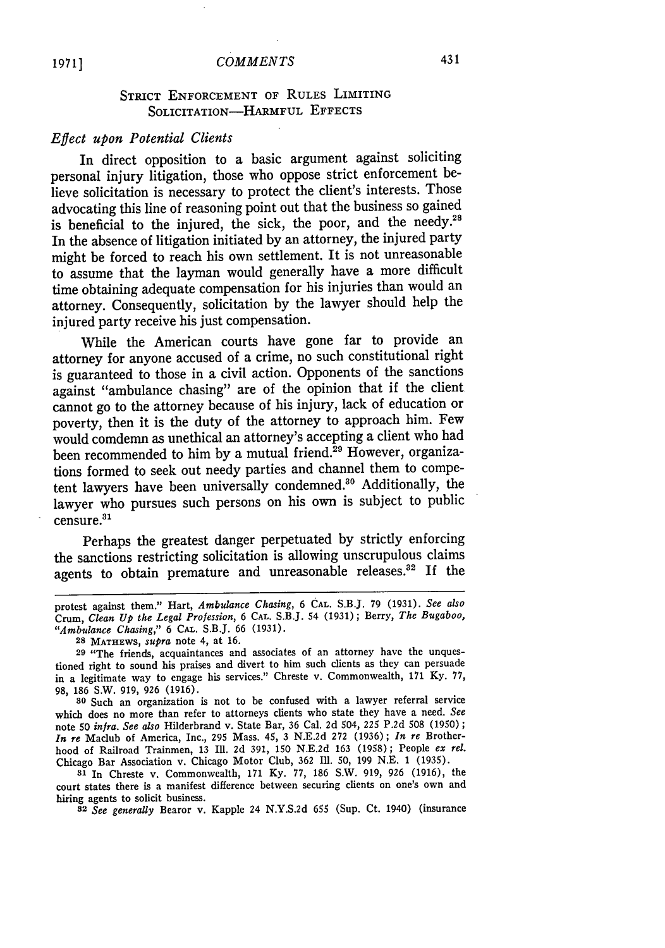## STRICT **ENFORCEMENT** OF RULES LIMITING SOLICITATION-HARMFUL **EFFECTS**

## *Effect upon Potential Clients*

In direct opposition to a basic argument against soliciting personal injury litigation, those who oppose strict enforcement believe solicitation is necessary to protect the client's interests. Those advocating this line of reasoning point out that the business so gained is beneficial to the injured, the sick, the poor, and the needy.<sup>21</sup> In the absence of litigation initiated **by** an attorney, the injured party might be forced to reach his own settlement. It is not unreasonable to assume that the layman would generally have a more difficult time obtaining adequate compensation for his injuries than would an attorney. Consequently, solicitation **by** the lawyer should help the injured party receive his just compensation.

While the American courts have gone far to provide an attorney for anyone accused of a crime, no such constitutional right is guaranteed to those in a civil action. Opponents of the sanctions against "ambulance chasing" are of the opinion that if the client cannot go to the attorney because of his injury, lack of education or poverty, then it is the duty of the attorney to approach him. Few would comdemn as unethical an attorney's accepting a client who had been recommended to him by a mutual friend.<sup>29</sup> However, organizations formed to seek out needy parties and channel them to competent lawyers have been universally condemned." Additionally, the lawyer who pursues such persons on his own is subject to public  $c$ ensure. $31$ 

Perhaps the greatest danger perpetuated **by** strictly enforcing the sanctions restricting solicitation is allowing unscrupulous claims agents to obtain premature and unreasonable releases.<sup>32</sup> If the

protest against them." Hart, *Ambulance Chasing,* **6 CAL.** S.B.J. **79 (1931).** *See also* Crum, *Clean Up the Legal Profession,* **6 CAL.** S.B.J. 54 **(1931);** Berry, *The Bugaboo, "Ambulance Chasing,"* **6 CAL.** S.B.J. **66 (1931).**

**<sup>28</sup> MATHEWS,** *supra* note 4, at **16.**

**<sup>29</sup>** "The friends, acquaintances and associates of an attorney have the unquestioned right to sound his praises and divert to him such clients as they can persuade in a legitimate way to engage his services." Chreste v. Commonwealth, **171 Ky. 77, 98, 186** S.W. **919, 926 (1916).**

**<sup>30</sup>** Such an organization is not to **be** confused with a lawyer referral service which does no more than refer to attorneys clients who state they have a need. *See* note **50** *infra. See also* Hilderbrand v. State Bar, **36** Cal. **2d** 504, **225 P.2d 508 (1950) ;** *In re* Maclub of America, Inc., **295** Mass. 45, **3 N.E.2d 272 (1936);** *In re* Brotherhood of Railroad Trainmen, **13 Ill. 2d 391, 150 N.E.2d 163 (1958);** People *ex rel.* Chicago Bar Association v. Chicago Motor Club, **362 Ill. 50, 199 N.E. 1 (1935).**

**<sup>31</sup>**In Chreste v. Commonwealth, **171 Ky. 77, 186** S.W. **919, 926 (1916),** the court states there is a manifest difference between securing clients on one's own and hiring agents to solicit business.

*<sup>32</sup>See generally* Bearor v. Kapple 24 **N.Y.S.2d 655** (Sup. Ct. 1940) (insurance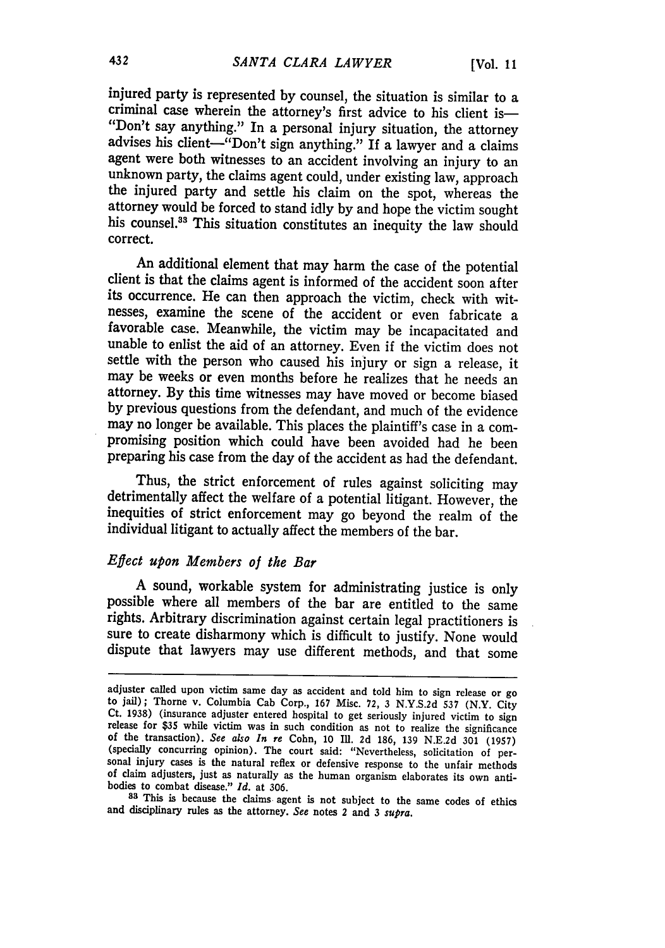injured party is represented **by** counsel, the situation is similar to a criminal case wherein the attorney's first advice to his client is—<br>"Don't say anything." In a personal injury situation, the attorney advises his client-"Don't sign anything." If a lawyer and a claims agent were both witnesses to an accident involving an injury to an unknown party, the claims agent could, under existing law, approach the injured party and settle his claim on the spot, whereas the attorney would be forced to stand idly by and hope the victim sought his counsel.<sup>33</sup> This situation constitutes an inequity the law should correct.

An additional element that may harm the case of the potential client is that the claims agent is informed of the accident soon after its occurrence. He can then approach the victim, check with witnesses, examine the scene of the accident or even fabricate a favorable case. Meanwhile, the victim may be incapacitated and unable to enlist the aid of an attorney. Even if the victim does not settle with the person who caused his injury or sign a release, it may be weeks or even months before he realizes that he needs an attorney. By this time witnesses may have moved or become biased by previous questions from the defendant, and much of the evidence may no longer be available. This places the plaintiff's case in a compromising position which could have been avoided had he been preparing his case from the day of the accident as had the defendant.

Thus, the strict enforcement of rules against soliciting may detrimentally affect the welfare of a potential litigant. However, the inequities of strict enforcement may go beyond the realm of the individual litigant to actually affect the members of the bar.

## *Effect upon Members of the Bar*

A sound, workable system for administrating justice is only possible where all members of the bar are entitled to the same rights. Arbitrary discrimination against certain legal practitioners is sure to create disharmony which is difficult to justify. None would dispute that lawyers may use different methods, and that some

adjuster called upon victim same day as accident and told him to sign release or go<br>to jail); Thorne v. Columbia Cab Corp., 167 Misc. 72, 3 N.Y.S.2d 537 (N.Y. City<br>Ct. 1938) (insurance adjuster entered hospital to get ser of claim adjusters, just as naturally as the human organism elaborates its own antibodies to combat disease." *Id.* at 306.

**<sup>83</sup>**This is because the claims agent is not subject to the same codes of ethics and disciplinary rules as the attorney. *See* notes 2 and 3 *supra.*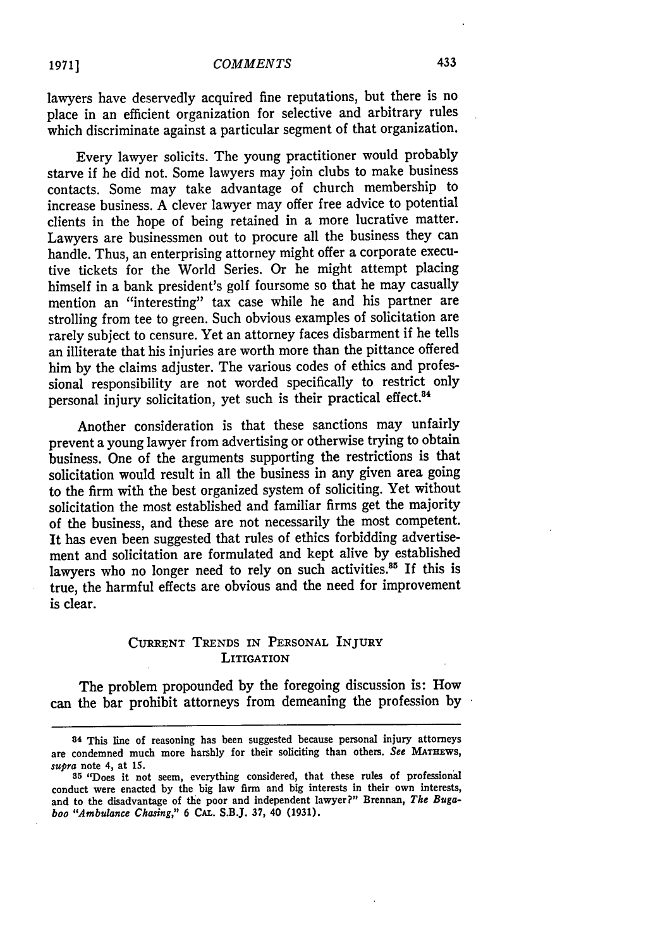lawyers have deservedly acquired fine reputations, but there is no place in an efficient organization for selective and arbitrary rules which discriminate against a particular segment of that organization.

Every lawyer solicits. The young practitioner would probably starve if he did not. Some lawyers may join clubs to make business contacts. Some may take advantage of church membership to increase business. A clever lawyer may offer free advice to potential clients in the hope of being retained in a more lucrative matter. Lawyers are businessmen out to procure all the business they can handle. Thus, an enterprising attorney might offer a corporate executive tickets for the World Series. Or he might attempt placing himself in a bank president's golf foursome so that he may casually mention an "interesting" tax case while he and his partner are strolling from tee to green. Such obvious examples of solicitation are rarely subject to censure. Yet an attorney faces disbarment if he tells an illiterate that his injuries are worth more than the pittance offered him by the claims adjuster. The various codes of ethics and professional responsibility are not worded specifically to restrict only personal injury solicitation, yet such is their practical effect.<sup>34</sup>

Another consideration is that these sanctions may unfairly prevent a young lawyer from advertising or otherwise trying to obtain business. One of the arguments supporting the restrictions is that solicitation would result in all the business in any given area going to the firm with the best organized system of soliciting. Yet without solicitation the most established and familiar firms get the majority of the business, and these are not necessarily the most competent. It has even been suggested that rules of ethics forbidding advertisement and solicitation are formulated and kept alive by established lawyers who no longer need to rely on such activities.<sup>35</sup> If this is true, the harmful effects are obvious and the need for improvement is clear.

## CURRENT TRENDS IN PERSONAL INJURY **LITIGATION**

The problem propounded by the foregoing discussion is: How can the bar prohibit attorneys from demeaning the profession by

**<sup>34</sup>** This line of reasoning has been suggested because personal injury attorneys are condemned much more harshly for their soliciting than others. *See* **MATHEWS,** *supra* note 4, at **15.**

**<sup>85</sup>**"Does it not seem, everything considered, that these rules of professional conduct were enacted by the big law firm and big interests in their own interests, and to the disadvantage of the poor and independent lawyer?" Brennan, *The Bugaboo "Ambulance Chasing,"* **6 CAL.** S.B.J. **37,** 40 **(1931).**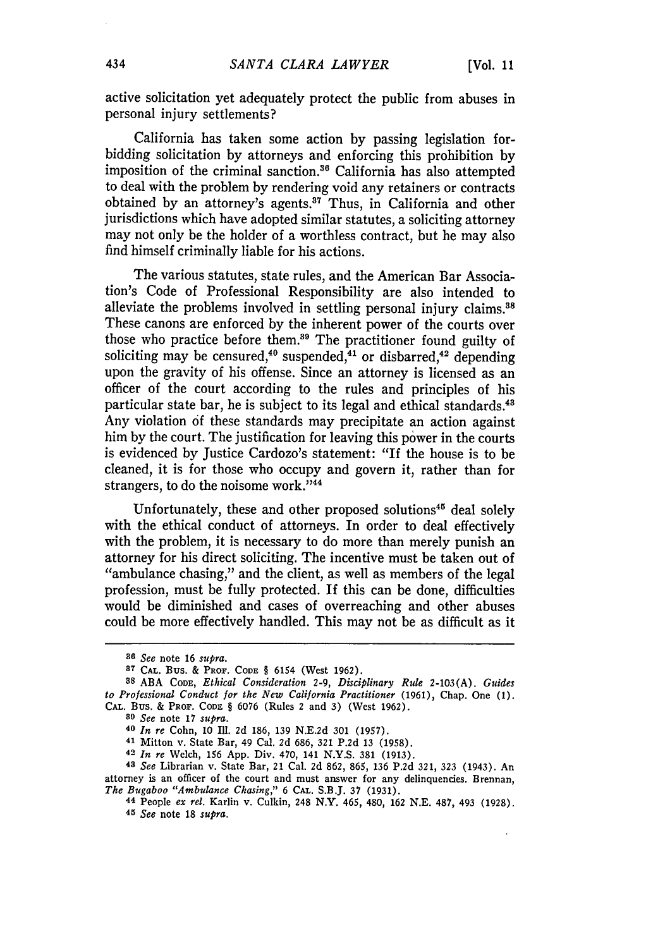active solicitation yet adequately protect the public from abuses in personal injury settlements?

California has taken some action by passing legislation forbidding solicitation by attorneys and enforcing this prohibition by imposition of the criminal sanction.<sup>36</sup> California has also attempted to deal with the problem by rendering void any retainers or contracts obtained by an attorney's agents.<sup>87</sup> Thus, in California and other jurisdictions which have adopted similar statutes, a soliciting attorney may not only be the holder of a worthless contract, but he may also find himself criminally liable for his actions.

The various statutes, state rules, and the American Bar Association's Code of Professional Responsibility are also intended to alleviate the problems involved in settling personal injury claims.<sup>38</sup> These canons are enforced by the inherent power of the courts over those who practice before them.<sup>39</sup> The practitioner found guilty of soliciting may be censured,<sup>40</sup> suspended,<sup>41</sup> or disbarred,<sup>42</sup> depending upon the gravity of his offense. Since an attorney is licensed as an officer of the court according to the rules and principles of his particular state bar, he is subject to its legal and ethical standards.<sup>43</sup> Any violation of these standards may precipitate an action against him by the court. The justification for leaving this power in the courts is evidenced by Justice Cardozo's statement: "If the house is to be cleaned, it is for those who occupy and govern it, rather than for strangers, to do the noisome work."<sup>44</sup>

Unfortunately, these and other proposed solutions<sup>45</sup> deal solely with the ethical conduct of attorneys. In order to deal effectively with the problem, it is necessary to do more than merely punish an attorney for his direct soliciting. The incentive must be taken out of "ambulance chasing," and the client, as well as members of the legal profession, must be fully protected. If this can be done, difficulties would be diminished and cases of overreaching and other abuses could be more effectively handled. This may not be as difficult as it

*89 See* note 17 *supra.*

**43** *See* Librarian v. State Bar, 21 Cal. **2d** 862, 865, 136 P.2d 321, 323 (1943). An attorney is an officer of the court and must answer for any delinquencies. Brennan, *The Bugaboo "Ambulance Chasing,"* 6 CAL. S.B.J. 37 (1931).

*<sup>86</sup> See* note 16 *supra.*

**<sup>37</sup> CAL.** Bus. & PROF. **CODE** § 6154 (West **1962).**

**<sup>88</sup> ABA** CODE, *Ethical Consideration 2-9, Disciplinary Rule* **2-103(A).** *Guides to Professional Conduct for the New California Practitioner* (1961), Chap. One (1). CAL. Bus. & PROF. **CODE** § 6076 (Rules 2 and 3) (West 1962).

**<sup>40</sup>** *In re* Cohn, 10 **Ill.** 2d 186, 139 N.E.2d 301 (1957).

**<sup>41</sup>**Mitton v. State Bar, 49 Cal. **2d** 686, **321** P.2d **13** (1958).

**<sup>42</sup>** *In re* Welch, 156 App. Div. 470, 141 N.Y.S. 381 (1913).

**<sup>44</sup>** People *ex rel.* Karlin v. Culkin, 248 N.Y. 465, 480, **162** N.E. 487, 493 (1928). *45 See* note **18** *supra.*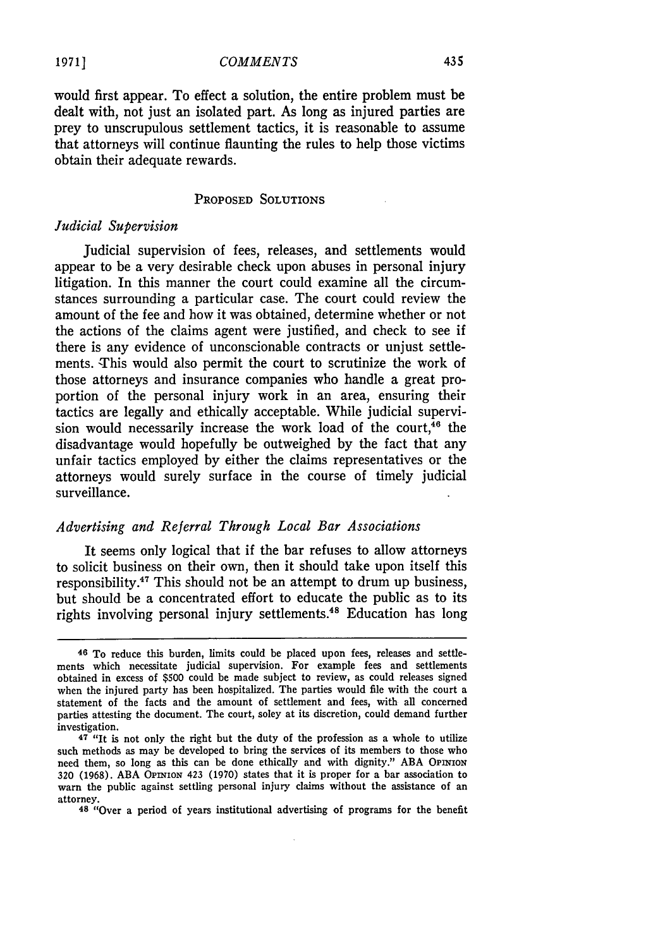would first appear. To effect a solution, the entire problem must be dealt with, not just an isolated part. As long as injured parties are prey to unscrupulous settlement tactics, it is reasonable to assume that attorneys will continue flaunting the rules to help those victims obtain their adequate rewards.

### PROPOSED **SOLUTIONS**

## *Judicial Supervision*

Judicial supervision of fees, releases, and settlements would appear to be a very desirable check upon abuses in personal injury litigation. In this manner the court could examine all the circumstances surrounding a particular case. The court could review the amount of the fee and how it was obtained, determine whether or not the actions of the claims agent were justified, and check to see if there is any evidence of unconscionable contracts or unjust settlements. This would also permit the court to scrutinize the work of those attorneys and insurance companies who handle a great proportion of the personal injury work in an area, ensuring their tactics are legally and ethically acceptable. While judicial supervision would necessarily increase the work load of the court, $^{46}$  the disadvantage would hopefully be outweighed by the fact that any unfair tactics employed by either the claims representatives or the attorneys would surely surface in the course of timely judicial surveillance.

## *Advertising and Referral Through Local Bar Associations*

It seems only logical that if the bar refuses to allow attorneys to solicit business on their own, then it should take upon itself this responsibility.<sup>47</sup> This should not be an attempt to drum up business. but should be a concentrated effort to educate the public as to its rights involving personal injury settlements.<sup>48</sup> Education has long

**<sup>46</sup>** To reduce this burden, limits could be placed upon fees, releases and settlements which necessitate judicial supervision. For example fees and settlements obtained in excess of **\$500** could be made subject to review, as could releases signed when the injured party has been hospitalized. The parties would file with the court a statement of the facts and the amount of settlement and fees, with all concerned parties attesting the document. The court, soley at its discretion, could demand further investigation.

**<sup>47</sup>** "It is not only the right but the duty of the profession as a whole to utilize such methods as may be developed to bring the services of its members to those who need them, so long as this can be done ethically and with dignity." ABA **OPINION 320** (1968). ABA OPINION 423 **(1970)** states that it is proper for a bar association to warn the public against settling personal injury claims without the assistance of an attorney. **<sup>48</sup>**"Over a period of years institutional advertising of programs for the benefit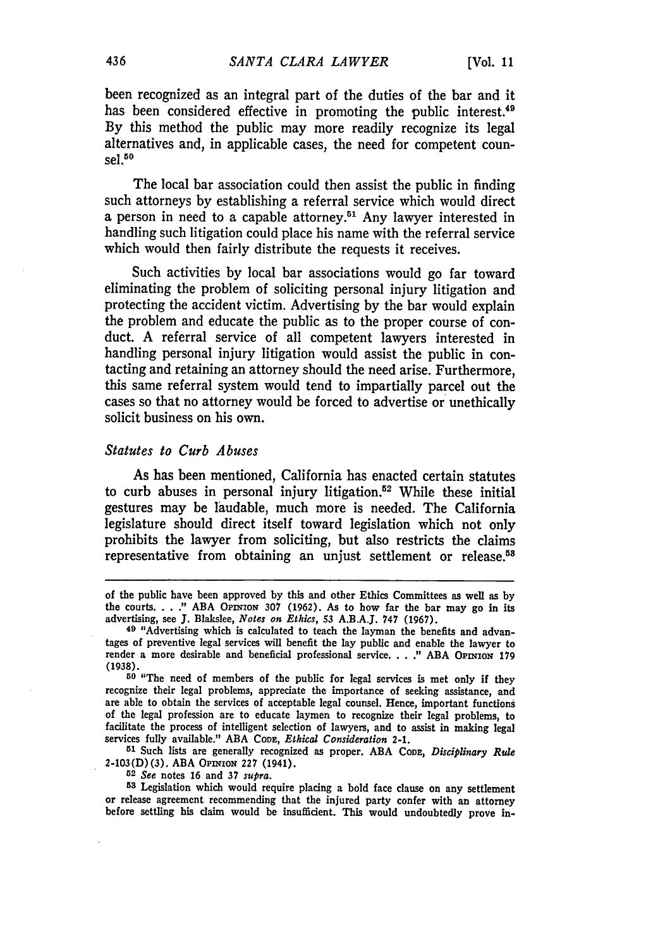been recognized as an integral part of the duties of the bar and it has been considered effective in promoting the public interest.<sup>49</sup> By this method the public may more readily recognize its legal alternatives and, in applicable cases, the need for competent counsel. <sup>50</sup>

The local bar association could then assist the public in finding such attorneys **by** establishing a referral service which would direct a person in need to a capable attorney.<sup>51</sup> Any lawyer interested in handling such litigation could place his name with the referral service which would then fairly distribute the requests it receives.

Such activities **by** local bar associations would go far toward eliminating the problem of soliciting personal injury litigation and protecting the accident victim. Advertising by the bar would explain the problem and educate the public as to the proper course of conduct. A referral service of all competent lawyers interested in handling personal injury litigation would assist the public in contacting and retaining an attorney should the need arise. Furthermore, this same referral system would tend to impartially parcel out the cases so that no attorney would be forced to advertise or unethically solicit business on his own.

### *Statutes to Curb Abuses*

As has been mentioned, California has enacted certain statutes to curb abuses in personal injury litigation.52 While these initial gestures may be laudable, much more is needed. The California legislature should direct itself toward legislation which not only prohibits the lawyer from soliciting, but also restricts the claims representative from obtaining an unjust settlement or release.<sup>58</sup>

**<sup>50</sup>**"The need of members of the public for legal services is met only if they recognize their legal problems, appreciate the importance of seeking assistance, and are able to obtain the services of acceptable legal counsel. Hence, important functions of the legal profession are to educate laymen to recognize their legal problems, to facilitate the process of intelligent selection of lawyers, and to assist in making legal services fully available." ABA CODE, *Ethical Consideration 2-1.*

**51** Such lists are generally recognized as proper. ABA **CODE,** *Disciplinary Rule* 2-103(D) (3). ABA OPINioN **227** (1941).

*52 See* notes 16 and 37 *supra.*

**53** Legislation which would require placing a bold face clause on any settlement or release agreement recommending that the injured party confer with an attorney before settling his claim would be insufficient. This would undoubtedly prove in-

of the public have been approved by this and other Ethics Committees as well as by the courts. . . **."** ABA **OPiNioN 307** (1962). As to how far the bar may go in its advertising, see J. Blakslee, *Notes on Ethics,* 53 A.B.A.J. 747 (1967).

**<sup>49</sup>** "Advertising which is calculated to teach the layman the benefits and advantages of preventive legal services will benefit the lay public and enable the lawyer to render a more desirable and beneficial professional service. . . ." ABA OPINION 179 (1938).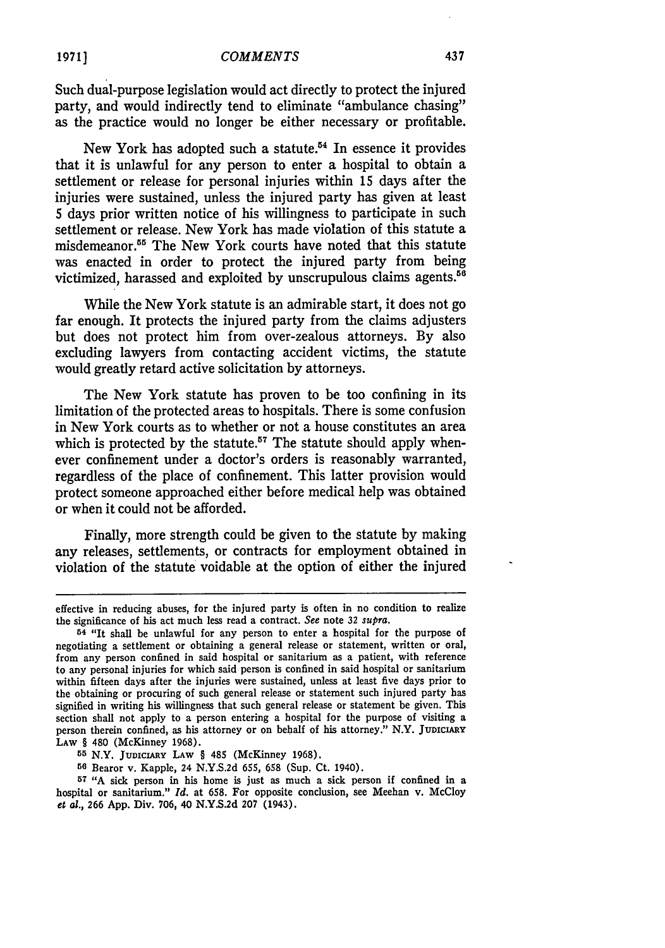Such dual-purpose legislation would act directly to protect the injured party, and would indirectly tend to eliminate "ambulance chasing" as the practice would no longer be either necessary or profitable.

New York has adopted such a statute.54 In essence it provides that it is unlawful for any person to enter a hospital to obtain a settlement or release for personal injuries within 15 days after the injuries were sustained, unless the injured party has given at least 5 days prior written notice of his willingness to participate in such settlement or release. New York has made violation of this statute a misdemeanor.55 The New York courts have noted that this statute was enacted in order to protect the injured party from being victimized, harassed and exploited by unscrupulous claims agents.<sup>56</sup>

While the New York statute is an admirable start, it does not go far enough. It protects the injured party from the claims adjusters but does not protect him from over-zealous attorneys. **By** also excluding lawyers from contacting accident victims, the statute would greatly retard active solicitation by attorneys.

The New York statute has proven to be too confining in its limitation of the protected areas to hospitals. There is some confusion in New York courts as to whether or not a house constitutes an area which is protected by the statute.<sup>57</sup> The statute should apply whenever confinement under a doctor's orders is reasonably warranted, regardless of the place of confinement. This latter provision would protect someone approached either before medical help was obtained or when it could not be afforded.

Finally, more strength could be given to the statute by making any releases, settlements, or contracts for employment obtained in violation of the statute voidable at the option of either the injured

437

effective in reducing abuses, for the injured party is often in no condition to realize the significance of his act much less read a contract. *See* note **32** *supra.*

**<sup>54</sup>** "It shall be unlawful for any person to enter a hospital for the purpose of negotiating a settlement or obtaining a general release or statement, written or oral, from any person confined in said hospital or sanitarium as a patient, with reference to any personal injuries for which said person is confined in said hospital or sanitarium within fifteen days after the injuries were sustained, unless at least five days prior to the obtaining or procuring of such general release or statement such injured party has signified in writing his willingness that such general release or statement be given. This section shall not apply to a person entering a hospital for the purpose of visiting a person therein confined, as his attorney or on behalf of his attorney." N.Y. JUDICIARY **LAW** § 480 (McKinney 1968).

**<sup>55</sup>** N.Y. **JUDICIARY LAW** § 485 (McKinney 1968).

**<sup>56</sup>** Bearor v. Kapple, 24 N.Y.S.2d **655, 658** (Sup. Ct. 1940).

**<sup>57</sup>** "A sick person in his home is just as much a sick person if confined in a hospital or sanitarium." *Id.* at 658. For opposite conclusion, see Meehan v. McCloy *et* al., **266** App. Div. 706, 40 **N.Y.S.2d 207** (1943).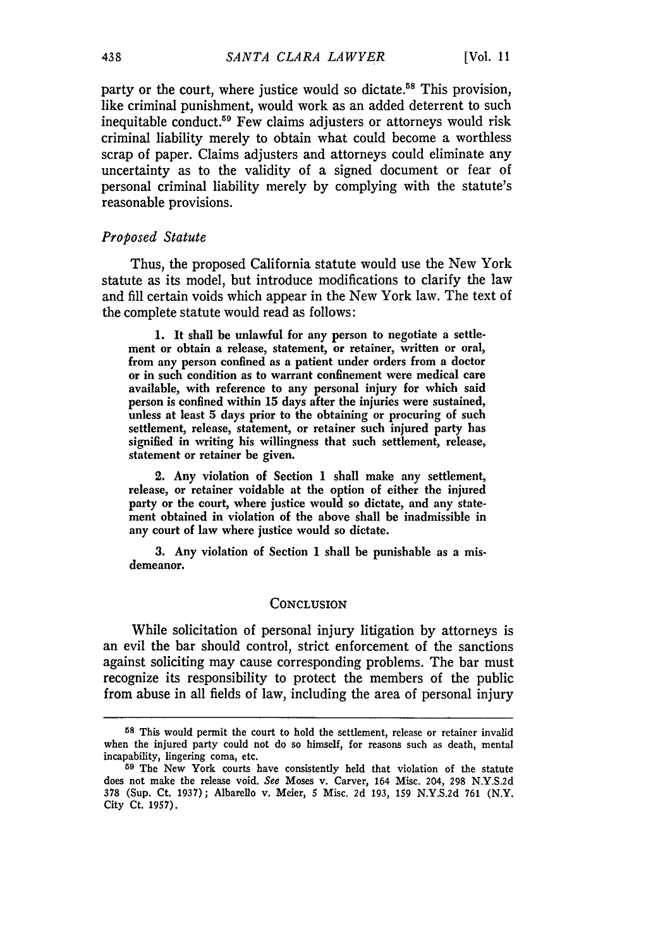party or the court, where justice would so dictate.<sup>58</sup> This provision like criminal punishment, would work as an added deterrent to such inequitable conduct.<sup>59</sup> Few claims adjusters or attorneys would risk criminal liability merely to obtain what could become a worthless scrap of paper. Claims adjusters and attorneys could eliminate any uncertainty as to the validity of a signed document or fear of personal criminal liability merely by complying with the statute's reasonable provisions.

## *Proposed Statute*

Thus, the proposed California statute would use the New York statute as its model, but introduce modifications to clarify the law and fill certain voids which appear in the New York law. The text of the complete statute would read as follows:

**1.** It shall be unlawful for any person to negotiate a settlement or obtain a release, statement, or retainer, written or oral, from any person confined as a patient under orders from a doctor or in such condition as to warrant confinement were medical care available, with reference to any personal injury for which said person is confined within **15** days after the injuries were sustained, unless at least **5** days prior to the obtaining or procuring of such settlement, release, statement, or retainer such injured party has signified in writing his willingness that such settlement, release, statement or retainer be given.

2. Any violation of Section **1** shall make any settlement, release, or retainer voidable at the option of either the injured party or the court, where justice would so dictate, and any statement obtained in violation of the above shall be inadmissible in any court of law where justice would so dictate.

**3.** Any violation of Section 1 shall be punishable as a misdemeanor.

#### **CONCLUSION**

While solicitation of personal injury litigation by attorneys is an evil the bar should control, strict enforcement of the sanctions against soliciting may cause corresponding problems. The bar must recognize its responsibility to protect the members of the public from abuse in all fields of law, including the area of personal injury

**<sup>58</sup>** This would permit the court to hold the settlement, release or retainer invalid when the injured party could not do so himself, for reasons such as death, mental incapability, lingering coma, etc.

<sup>59</sup> The New York courts have consistently held that violation of the statute does not make the release void. *See* Moses v. Carver, 164 Misc. 204, 298 N.Y.S.2d 378 (Sup. Ct. 1937); Albarello v. Meier, **5** Misc. **2d** 193, 159 N.Y.S.2d 761 (N.Y. City Ct. 1957).